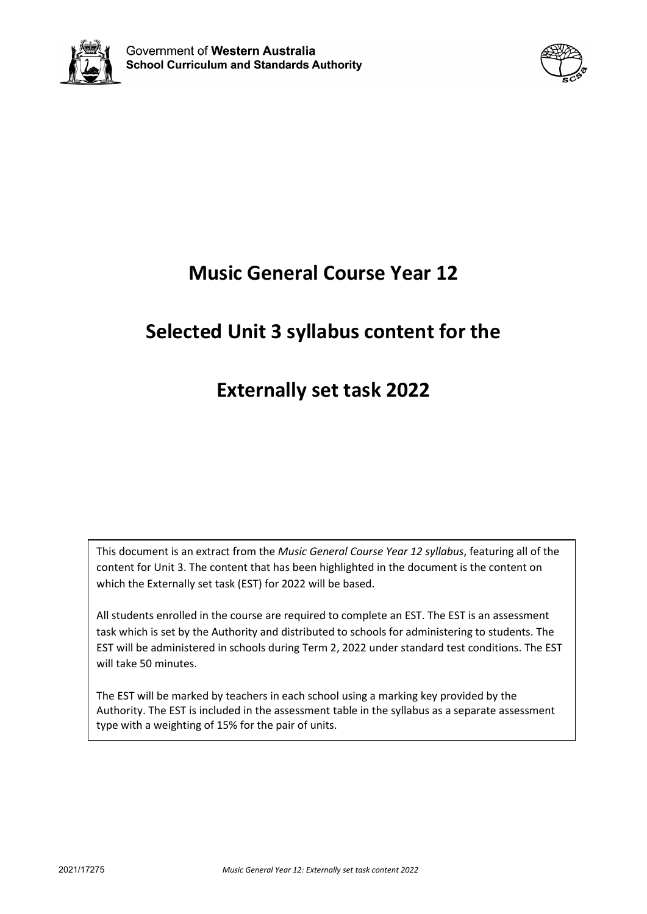



# **Music General Course Year 12**

# **Selected Unit 3 syllabus content for the**

## **Externally set task 2022**

This document is an extract from the *Music General Course Year 12 syllabus*, featuring all of the content for Unit 3. The content that has been highlighted in the document is the content on which the Externally set task (EST) for 2022 will be based.

All students enrolled in the course are required to complete an EST. The EST is an assessment task which is set by the Authority and distributed to schools for administering to students. The EST will be administered in schools during Term 2, 2022 under standard test conditions. The EST will take 50 minutes.

The EST will be marked by teachers in each school using a marking key provided by the Authority. The EST is included in the assessment table in the syllabus as a separate assessment type with a weighting of 15% for the pair of units.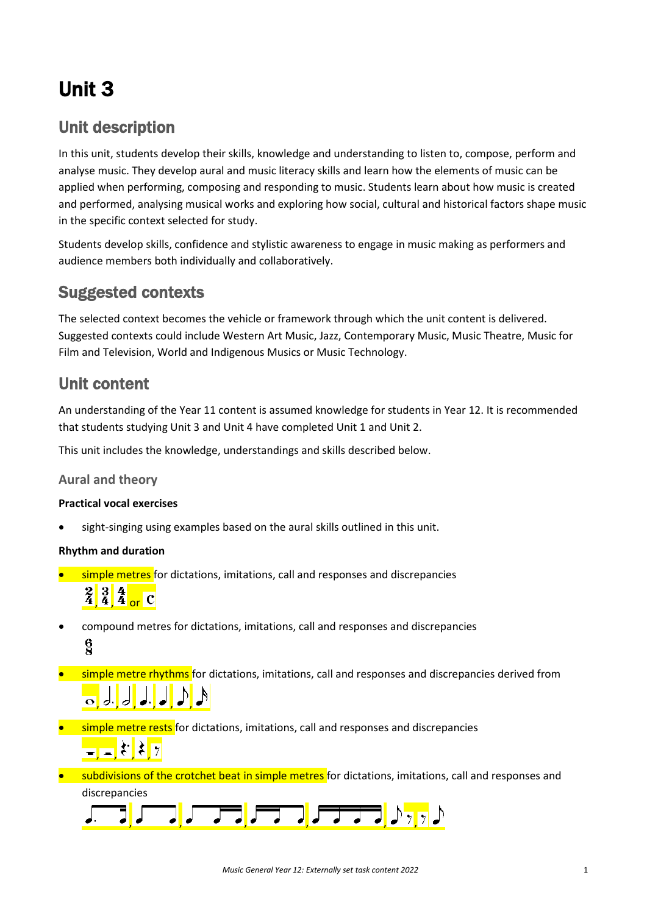# Unit 3

### Unit description

In this unit, students develop their skills, knowledge and understanding to listen to, compose, perform and analyse music. They develop aural and music literacy skills and learn how the elements of music can be applied when performing, composing and responding to music. Students learn about how music is created and performed, analysing musical works and exploring how social, cultural and historical factors shape music in the specific context selected for study.

Students develop skills, confidence and stylistic awareness to engage in music making as performers and audience members both individually and collaboratively.

### Suggested contexts

The selected context becomes the vehicle or framework through which the unit content is delivered. Suggested contexts could include Western Art Music, Jazz, Contemporary Music, Music Theatre, Music for Film and Television, World and Indigenous Musics or Music Technology.

### Unit content

An understanding of the Year 11 content is assumed knowledge for students in Year 12. It is recommended that students studying Unit 3 and Unit 4 have completed Unit 1 and Unit 2.

This unit includes the knowledge, understandings and skills described below.

#### **Aural and theory**

#### **Practical vocal exercises**

sight-singing using examples based on the aural skills outlined in this unit.

#### **Rhythm and duration**

**•** simple metres for dictations, imitations, call and responses and discrepancies

# $\frac{2}{4}$  $\frac{3}{4}$  $\frac{4}{4}$  or C

- compound metres for dictations, imitations, call and responses and discrepancies  $\frac{6}{2}$
- **simple metre rhythms** for dictations, imitations, call and responses and discrepancies derived from , , , , , ,
- **•** simple metre rests for dictations, imitations, call and responses and discrepancies  $\frac{1}{\sqrt{2}}$ ,  $\frac{1}{2}$ ,  $\frac{1}{2}$ ,  $\frac{1}{2}$
- subdivisions of the crotchet beat in simple metres for dictations, imitations, call and responses and discrepancies

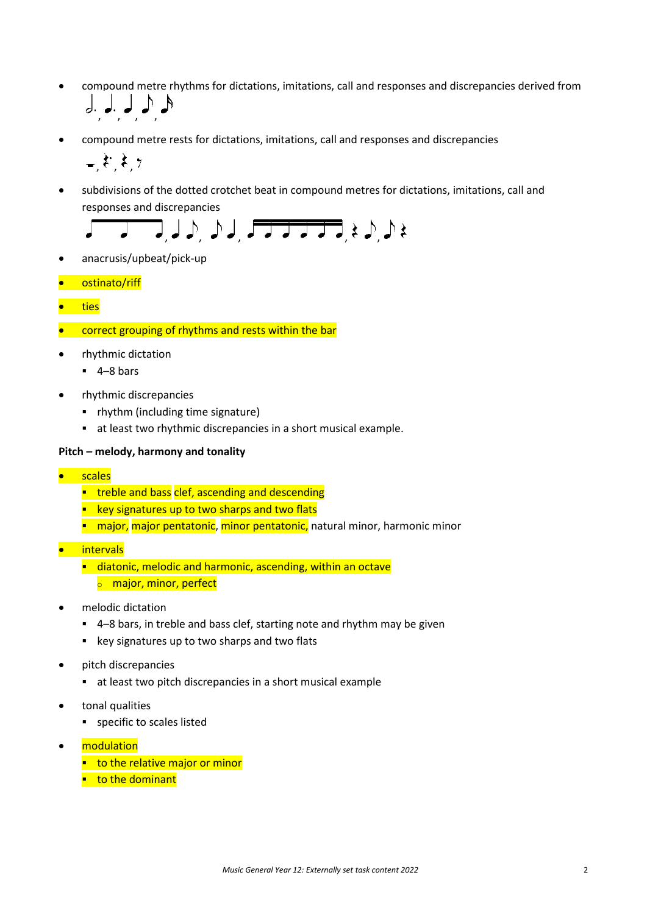- compound metre rhythms for dictations, imitations, call and responses and discrepancies derived from , , , ,
- compound metre rests for dictations, imitations, call and responses and discrepancies

$$
_{\scriptscriptstyle{-}},\xi,\xi,\gamma
$$

• subdivisions of the dotted crotchet beat in compound metres for dictations, imitations, call and responses and discrepancies



- anacrusis/upbeat/pick-up
- ostinato/riff
- ties
- correct grouping of rhythms and rests within the bar
- rhythmic dictation
	- $-4-8$  bars
- rhythmic discrepancies
	- rhythm (including time signature)
	- at least two rhythmic discrepancies in a short musical example.

#### **Pitch – melody, harmony and tonality**

- **scales** 
	- **treble and bass clef, ascending and descending**
	- **EXEX** key signatures up to two sharps and two flats
	- **numator**, major pentatonic, minor pentatonic, natural minor, harmonic minor
- intervals
	- diatonic, melodic and harmonic, ascending, within an octave
		- **o** major, minor, perfect
- melodic dictation
	- 4–8 bars, in treble and bass clef, starting note and rhythm may be given
	- **EXECT:** key signatures up to two sharps and two flats
- pitch discrepancies
	- at least two pitch discrepancies in a short musical example
- tonal qualities
	- specific to scales listed
- modulation
	- $\blacksquare$  to the relative major or minor
	- $\blacksquare$  to the dominant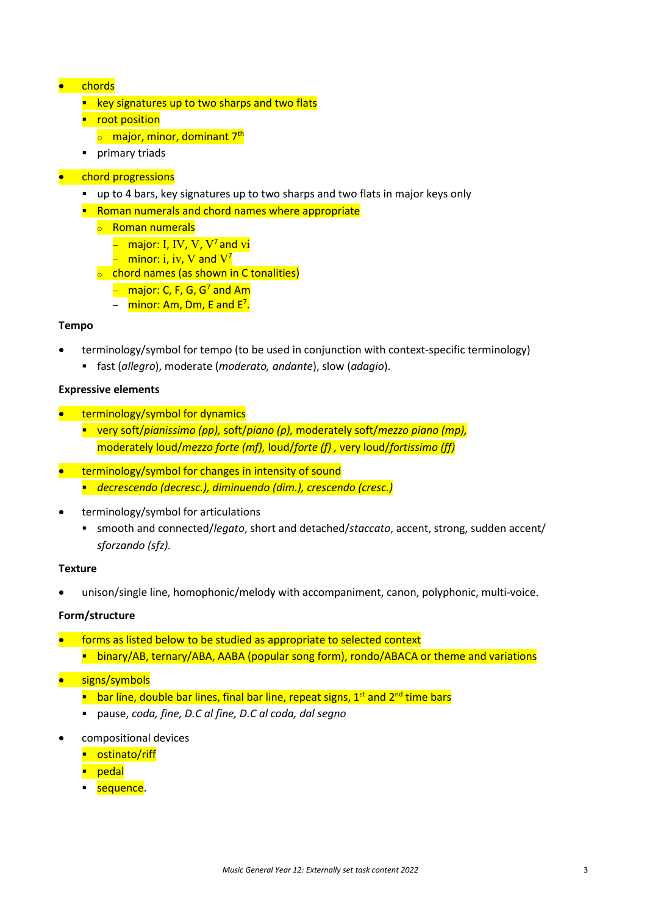#### • chords

- $\blacksquare$  key signatures up to two sharps and two flats
- **•** root position
	- $\circ$  major, minor, dominant 7<sup>th</sup>
- **•** primary triads
- chord progressions
	- up to 4 bars, key signatures up to two sharps and two flats in major keys only
	- **Roman numerals and chord names where appropriate** 
		- <sup>o</sup> Roman numerals
			- − major: I, IV, V, V7 and vi
			- $-$  minor: i, iv, V and  $V^7$
		- $\circ$  chord names (as shown in C tonalities)
			- − major: C, F, G, G7 and Am
			- − <mark>minor: Am, Dm, E and E<sup>7</sup>.</mark>

#### **Tempo**

- terminology/symbol for tempo (to be used in conjunction with context-specific terminology)
	- fast (*allegro*), moderate (*moderato, andante*), slow (*adagio*).

#### **Expressive elements**

- terminology/symbol for dynamics
	- very soft/*pianissimo (pp),* soft/*piano (p),* moderately soft/*mezzo piano (mp),*  moderately loud/*mezzo forte (mf),* loud/*forte (f) ,* very loud/*fortissimo (ff)*
- terminology/symbol for changes in intensity of sound
	- *decrescendo (decresc.), diminuendo (dim.), crescendo (cresc.)*
- terminology/symbol for articulations
	- smooth and connected/*legato*, short and detached/*staccato*, accent, strong, sudden accent/ *sforzando (sfz).*

#### **Texture**

• unison/single line, homophonic/melody with accompaniment, canon, polyphonic, multi-voice.

#### **Form/structure**

- forms as listed below to be studied as appropriate to selected context **Dinary/AB, ternary/ABA, AABA (popular song form), rondo/ABACA or theme and variations**
- signs/symbols
	- **E** bar line, double bar lines, final bar line, repeat signs,  $1<sup>st</sup>$  and  $2<sup>nd</sup>$  time bars
	- pause, *coda, fine, D.C al fine, D.C al coda, dal segno*
- compositional devices
	- **-** ostinato/riff
	- **P** pedal
	- sequence.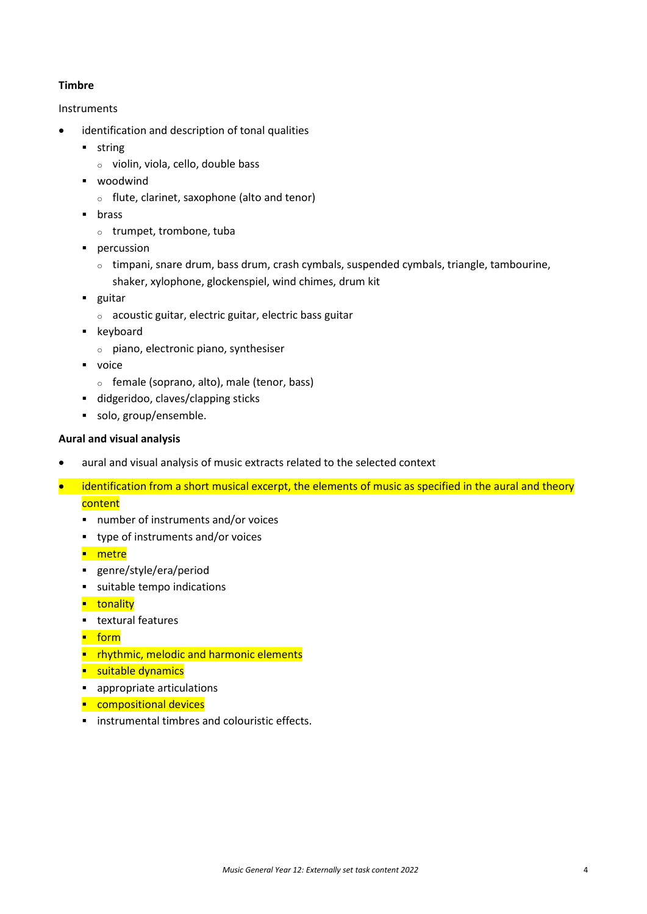#### **Timbre**

#### Instruments

- identification and description of tonal qualities
	- **string** 
		- <sup>o</sup> violin, viola, cello, double bass
	- **•** woodwind
		- <sup>o</sup> flute, clarinet, saxophone (alto and tenor)
	- **u** brass
		- <sup>o</sup> trumpet, trombone, tuba
	- **percussion** 
		- $\circ$  timpani, snare drum, bass drum, crash cymbals, suspended cymbals, triangle, tambourine, shaker, xylophone, glockenspiel, wind chimes, drum kit
	- **guitar** 
		- <sup>o</sup> acoustic guitar, electric guitar, electric bass guitar
	- **EXEC** keyboard
		- <sup>o</sup> piano, electronic piano, synthesiser
	- voice
		- <sup>o</sup> female (soprano, alto), male (tenor, bass)
	- didgeridoo, claves/clapping sticks
	- solo, group/ensemble.

#### **Aural and visual analysis**

- aural and visual analysis of music extracts related to the selected context
- identification from a short musical excerpt, the elements of music as specified in the aural and theory content
	- number of instruments and/or voices
	- type of instruments and/or voices
	- **-** metre
	- genre/style/era/period
	- suitable tempo indications
	- **u**tonality
	- **textural features**
	- $\blacksquare$  form
	- **P** rhythmic, melodic and harmonic elements
	- **suitable dynamics**
	- appropriate articulations
	- **Compositional devices**
	- **EXECUTE:** instrumental timbres and colouristic effects.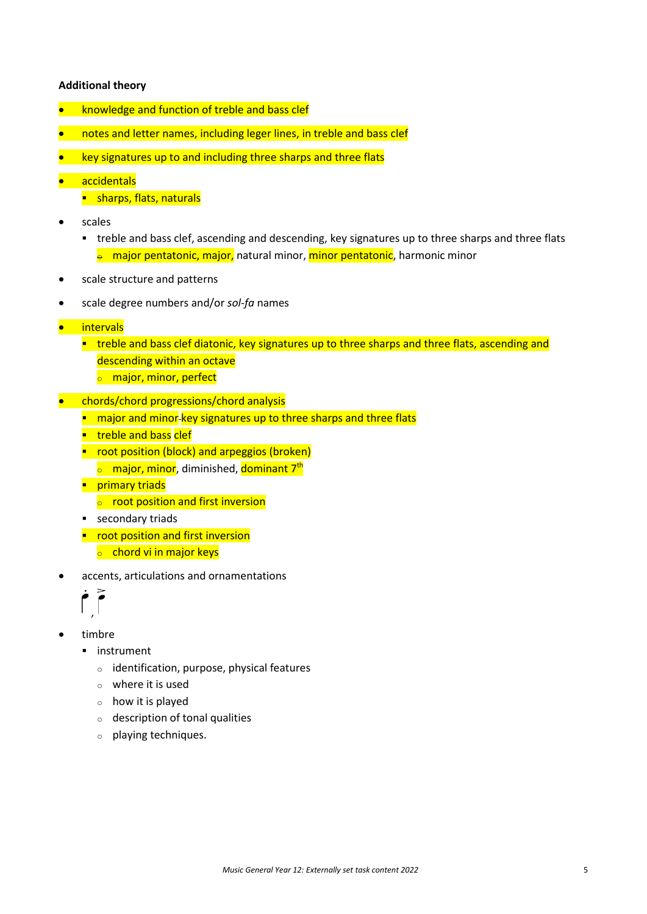#### **Additional theory**

- knowledge and function of treble and bass clef
- notes and letter names, including leger lines, in treble and bass clef
- key signatures up to and including three sharps and three flats
- accidentals
	- **sharps, flats, naturals**
- scales
	- treble and bass clef, ascending and descending, key signatures up to three sharps and three flats  $\frac{1}{e}$  major pentatonic, major, natural minor, minor pentatonic, harmonic minor
- scale structure and patterns
- scale degree numbers and/or *sol-fa* names
- intervals
	- **timation and bass clef diatonic, key signatures up to three sharps and three flats, ascending and** descending within an octave
		- **o** major, minor, perfect
- chords/chord progressions/chord analysis
	- **n** major and minor-key signatures up to three sharps and three flats
	- **treble and bass clef**
	- **•** root position (block) and arpeggios (broken)
		- **o** major, minor, diminished, dominant 7<sup>th</sup>
	- **Primary triads** 
		- $\circ$  root position and first inversion
	- **secondary triads**
	- **•** root position and first inversion  $\circ$  chord vi in major keys
- accents, articulations and ornamentations



- timbre
	- **·** instrument
		- <sup>o</sup> identification, purpose, physical features
		- $\circ$  where it is used
		- <sup>o</sup> how it is played
		- <sup>o</sup> description of tonal qualities
		- <sup>o</sup> playing techniques.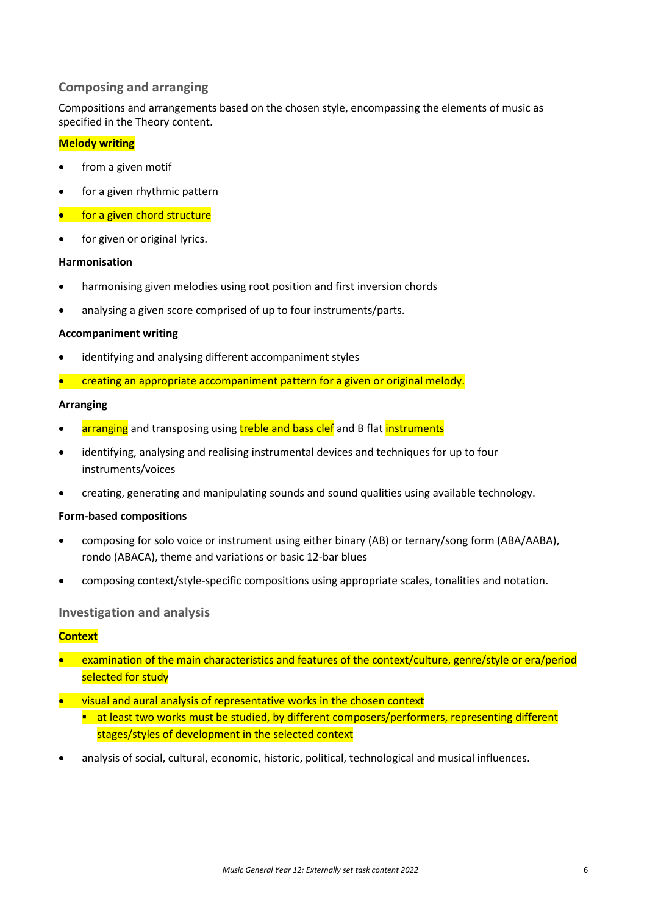#### **Composing and arranging**

Compositions and arrangements based on the chosen style, encompassing the elements of music as specified in the Theory content.

#### **Melody writing**

- from a given motif
- for a given rhythmic pattern
- for a given chord structure
- for given or original lyrics.

#### **Harmonisation**

- harmonising given melodies using root position and first inversion chords
- analysing a given score comprised of up to four instruments/parts.

#### **Accompaniment writing**

- identifying and analysing different accompaniment styles
- creating an appropriate accompaniment pattern for a given or original melody.

#### **Arranging**

- arranging and transposing using treble and bass clef and B flat instruments
- identifying, analysing and realising instrumental devices and techniques for up to four instruments/voices
- creating, generating and manipulating sounds and sound qualities using available technology.

#### **Form-based compositions**

- composing for solo voice or instrument using either binary (AB) or ternary/song form (ABA/AABA), rondo (ABACA), theme and variations or basic 12-bar blues
- composing context/style-specific compositions using appropriate scales, tonalities and notation.

#### **Investigation and analysis**

#### **Context**

- examination of the main characteristics and features of the context/culture, genre/style or era/period selected for study
- visual and aural analysis of representative works in the chosen context
	- **at least two works must be studied, by different composers/performers, representing different** stages/styles of development in the selected context
- analysis of social, cultural, economic, historic, political, technological and musical influences.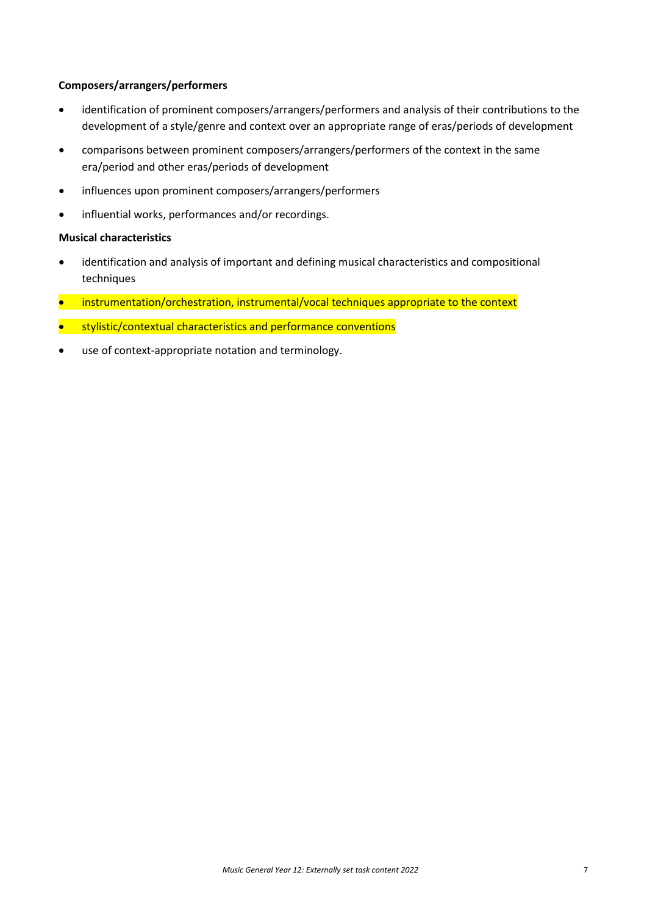#### **Composers/arrangers/performers**

- identification of prominent composers/arrangers/performers and analysis of their contributions to the development of a style/genre and context over an appropriate range of eras/periods of development
- comparisons between prominent composers/arrangers/performers of the context in the same era/period and other eras/periods of development
- influences upon prominent composers/arrangers/performers
- influential works, performances and/or recordings.

#### **Musical characteristics**

- identification and analysis of important and defining musical characteristics and compositional techniques
- instrumentation/orchestration, instrumental/vocal techniques appropriate to the context
- stylistic/contextual characteristics and performance conventions
- use of context-appropriate notation and terminology.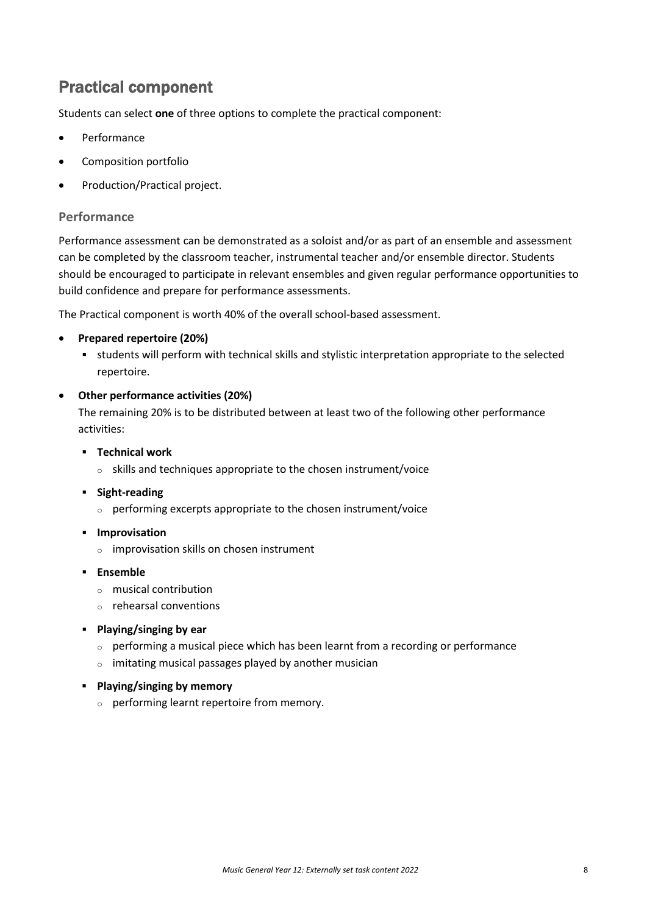### Practical component

Students can select **one** of three options to complete the practical component:

- **Performance**
- Composition portfolio
- Production/Practical project.

#### **Performance**

Performance assessment can be demonstrated as a soloist and/or as part of an ensemble and assessment can be completed by the classroom teacher, instrumental teacher and/or ensemble director. Students should be encouraged to participate in relevant ensembles and given regular performance opportunities to build confidence and prepare for performance assessments.

The Practical component is worth 40% of the overall school-based assessment.

#### • **Prepared repertoire (20%)**

 students will perform with technical skills and stylistic interpretation appropriate to the selected repertoire.

#### • **Other performance activities (20%)**

The remaining 20% is to be distributed between at least two of the following other performance activities:

- **Technical work**
	- <sup>o</sup> skills and techniques appropriate to the chosen instrument/voice
- **Fight-reading** 
	- <sup>o</sup> performing excerpts appropriate to the chosen instrument/voice
- **Improvisation** 
	- <sup>o</sup> improvisation skills on chosen instrument
- **Ensemble**
	- <sup>o</sup> musical contribution
	- <sup>o</sup> rehearsal conventions
- **Playing/singing by ear**
	- <sup>o</sup> performing a musical piece which has been learnt from a recording or performance
	- <sup>o</sup> imitating musical passages played by another musician
- **Playing/singing by memory**
	- <sup>o</sup> performing learnt repertoire from memory.